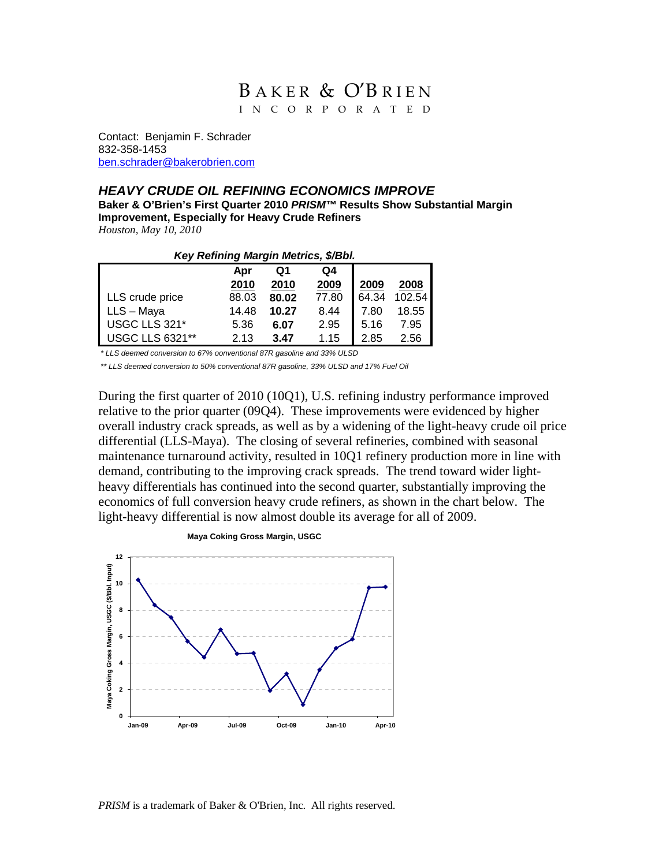# BAKER & O'BRIEN I N C O R P O R A T E D

Contact: Benjamin F. Schrader 832-358-1453 ben.schrader@bakerobrien.com

### *HEAVY CRUDE OIL REFINING ECONOMICS IMPROVE*

**Baker & O'Brien's First Quarter 2010** *PRISM™* **Results Show Substantial Margin Improvement, Especially for Heavy Crude Refiners**  *Houston, May 10, 2010* 

#### *Key Refining Margin Metrics, \$/Bbl.*

|                        | Apr   | Ο1    | Q4    |       |        |
|------------------------|-------|-------|-------|-------|--------|
|                        | 2010  | 2010  | 2009  | 2009  | 2008   |
| LLS crude price        | 88.03 | 80.02 | 77.80 | 64.34 | 102.54 |
| LLS - Maya             | 14.48 | 10.27 | 8.44  | 7.80  | 18.55  |
| USGC LLS 321*          | 5.36  | 6.07  | 2.95  | 5.16  | 7.95   |
| <b>USGC LLS 6321**</b> | 2.13  | 3.47  | 1.15  | 2.85  | 2.56   |

*\* LLS deemed conversion to 67% oonventional 87R gasoline and 33% ULSD* 

*\*\* LLS deemed conversion to 50% conventional 87R gasoline, 33% ULSD and 17% Fuel Oil*

During the first quarter of 2010 (10Q1), U.S. refining industry performance improved relative to the prior quarter (09Q4). These improvements were evidenced by higher overall industry crack spreads, as well as by a widening of the light-heavy crude oil price differential (LLS-Maya). The closing of several refineries, combined with seasonal maintenance turnaround activity, resulted in 10Q1 refinery production more in line with demand, contributing to the improving crack spreads. The trend toward wider lightheavy differentials has continued into the second quarter, substantially improving the economics of full conversion heavy crude refiners, as shown in the chart below. The light-heavy differential is now almost double its average for all of 2009.



*PRISM* is a trademark of Baker & O'Brien, Inc. All rights reserved.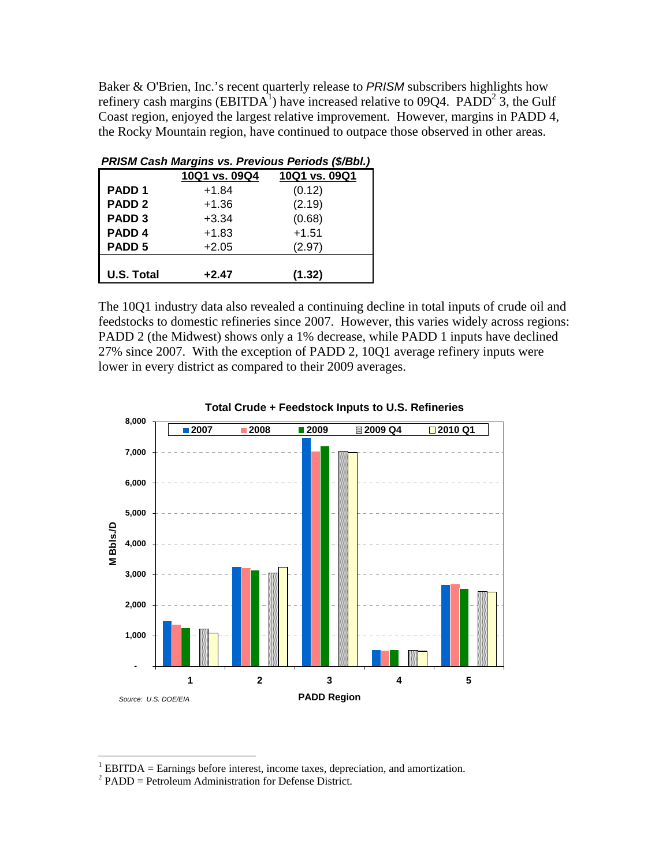Baker & O'Brien, Inc.'s recent quarterly release to *PRISM* subscribers highlights how refinery cash margins (EBITDA<sup>1</sup>) have increased relative to 09Q4. PADD<sup>2</sup> 3, the Gulf Coast region, enjoyed the largest relative improvement. However, margins in PADD 4, the Rocky Mountain region, have continued to outpace those observed in other areas.

| PRISM Cash Margins vs. Previous Periods (\$/Bbl.) |               |               |  |  |  |
|---------------------------------------------------|---------------|---------------|--|--|--|
|                                                   | 10Q1 vs. 09Q4 | 10Q1 vs. 09Q1 |  |  |  |
| PADD <sub>1</sub>                                 | $+1.84$       | (0.12)        |  |  |  |
| PADD <sub>2</sub>                                 | $+1.36$       | (2.19)        |  |  |  |
| PADD <sub>3</sub>                                 | $+3.34$       | (0.68)        |  |  |  |
| PADD <sub>4</sub>                                 | $+1.83$       | $+1.51$       |  |  |  |
| PADD <sub>5</sub>                                 | $+2.05$       | (2.97)        |  |  |  |
|                                                   |               |               |  |  |  |
| <b>U.S. Total</b>                                 | $+2.47$       | (1.32)        |  |  |  |

The 10Q1 industry data also revealed a continuing decline in total inputs of crude oil and feedstocks to domestic refineries since 2007. However, this varies widely across regions: PADD 2 (the Midwest) shows only a 1% decrease, while PADD 1 inputs have declined 27% since 2007. With the exception of PADD 2, 10Q1 average refinery inputs were lower in every district as compared to their 2009 averages.





<sup>&</sup>lt;sup>1</sup> EBITDA = Earnings before interest, income taxes, depreciation, and amortization.

 $^2$  PADD = Petroleum Administration for Defense District.